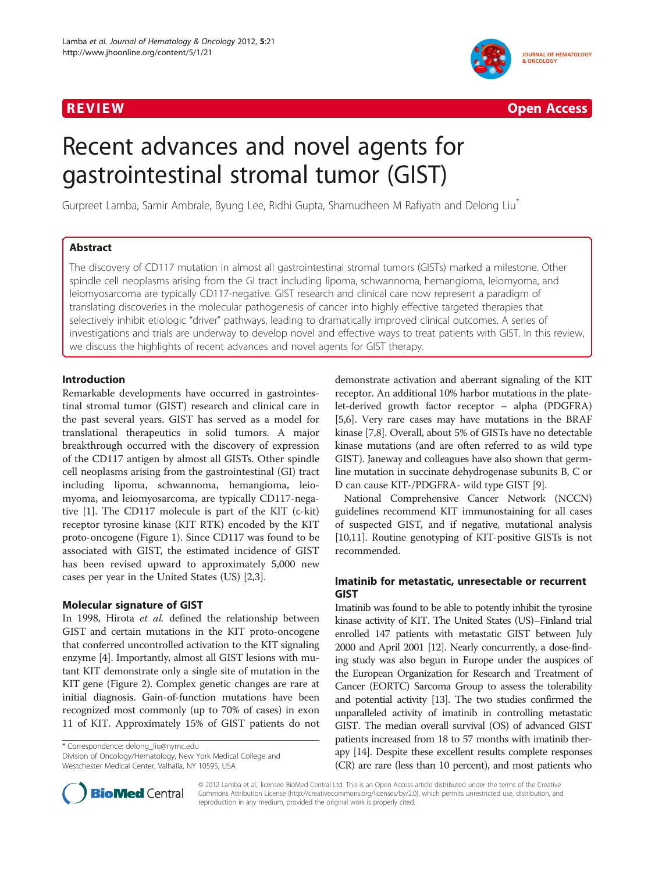



# Recent advances and novel agents for gastrointestinal stromal tumor (GIST)

Gurpreet Lamba, Samir Ambrale, Byung Lee, Ridhi Gupta, Shamudheen M Rafiyath and Delong Liu<sup>\*</sup>

# Abstract

The discovery of CD117 mutation in almost all gastrointestinal stromal tumors (GISTs) marked a milestone. Other spindle cell neoplasms arising from the GI tract including lipoma, schwannoma, hemangioma, leiomyoma, and leiomyosarcoma are typically CD117-negative. GIST research and clinical care now represent a paradigm of translating discoveries in the molecular pathogenesis of cancer into highly effective targeted therapies that selectively inhibit etiologic "driver" pathways, leading to dramatically improved clinical outcomes. A series of investigations and trials are underway to develop novel and effective ways to treat patients with GIST. In this review, we discuss the highlights of recent advances and novel agents for GIST therapy.

# Introduction

Remarkable developments have occurred in gastrointestinal stromal tumor (GIST) research and clinical care in the past several years. GIST has served as a model for translational therapeutics in solid tumors. A major breakthrough occurred with the discovery of expression of the CD117 antigen by almost all GISTs. Other spindle cell neoplasms arising from the gastrointestinal (GI) tract including lipoma, schwannoma, hemangioma, leiomyoma, and leiomyosarcoma, are typically CD117-negative [\[1](#page-5-0)]. The CD117 molecule is part of the KIT (c-kit) receptor tyrosine kinase (KIT RTK) encoded by the KIT proto-oncogene (Figure [1\)](#page-1-0). Since CD117 was found to be associated with GIST, the estimated incidence of GIST has been revised upward to approximately 5,000 new cases per year in the United States (US) [[2,3\]](#page-5-0).

# Molecular signature of GIST

In 1998, Hirota et al. defined the relationship between GIST and certain mutations in the KIT proto-oncogene that conferred uncontrolled activation to the KIT signaling enzyme [\[4\]](#page-5-0). Importantly, almost all GIST lesions with mutant KIT demonstrate only a single site of mutation in the KIT gene (Figure [2\)](#page-1-0). Complex genetic changes are rare at initial diagnosis. Gain-of-function mutations have been recognized most commonly (up to 70% of cases) in exon 11 of KIT. Approximately 15% of GIST patients do not

\* Correspondence: [delong\\_liu@nymc.edu](mailto:delong_liu@nymc.edu)

Division of Oncology/Hematology, New York Medical College and Westchester Medical Center, Valhalla, NY 10595, USA

demonstrate activation and aberrant signaling of the KIT receptor. An additional 10% harbor mutations in the platelet-derived growth factor receptor – alpha (PDGFRA) [[5,6](#page-5-0)]. Very rare cases may have mutations in the BRAF kinase [\[7,8\]](#page-5-0). Overall, about 5% of GISTs have no detectable kinase mutations (and are often referred to as wild type GIST). Janeway and colleagues have also shown that germline mutation in succinate dehydrogenase subunits B, C or D can cause KIT-/PDGFRA- wild type GIST [[9](#page-5-0)].

National Comprehensive Cancer Network (NCCN) guidelines recommend KIT immunostaining for all cases of suspected GIST, and if negative, mutational analysis [[10](#page-5-0)[,11\]](#page-6-0). Routine genotyping of KIT-positive GISTs is not recommended.

# Imatinib for metastatic, unresectable or recurrent GIST

Imatinib was found to be able to potently inhibit the tyrosine kinase activity of KIT. The United States (US)–Finland trial enrolled 147 patients with metastatic GIST between July 2000 and April 2001 [\[12](#page-6-0)]. Nearly concurrently, a dose-finding study was also begun in Europe under the auspices of the European Organization for Research and Treatment of Cancer (EORTC) Sarcoma Group to assess the tolerability and potential activity [\[13\]](#page-6-0). The two studies confirmed the unparalleled activity of imatinib in controlling metastatic GIST. The median overall survival (OS) of advanced GIST patients increased from 18 to 57 months with imatinib therapy [\[14\]](#page-6-0). Despite these excellent results complete responses (CR) are rare (less than 10 percent), and most patients who



© 2012 Lamba et al.; licensee BioMed Central Ltd. This is an Open Access article distributed under the terms of the Creative Commons Attribution License (http://creativecommons.org/licenses/by/2.0), which permits unrestricted use, distribution, and reproduction in any medium, provided the original work is properly cited.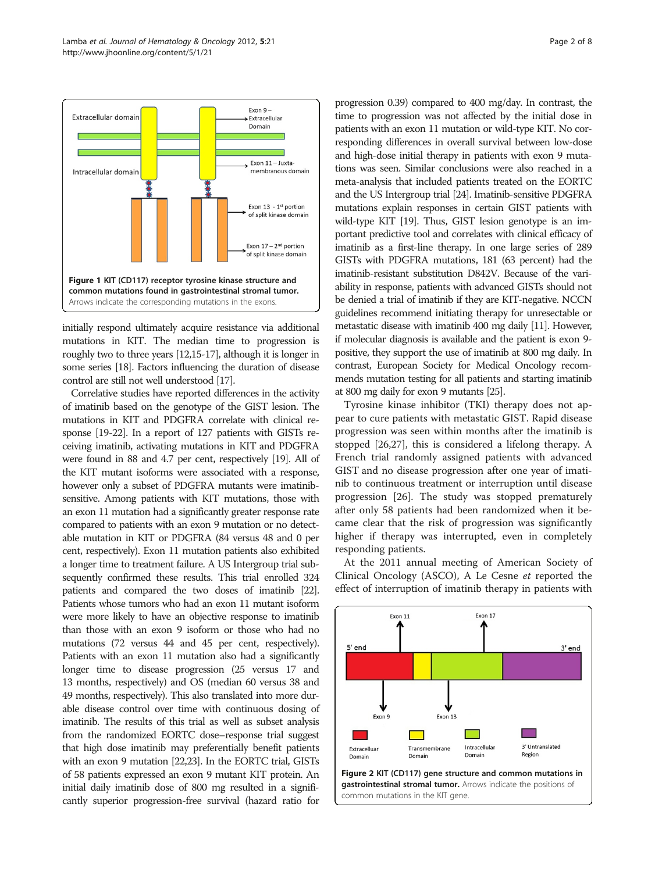<span id="page-1-0"></span>

initially respond ultimately acquire resistance via additional mutations in KIT. The median time to progression is roughly two to three years [\[12,15](#page-6-0)-[17\]](#page-6-0), although it is longer in some series [\[18\]](#page-6-0). Factors influencing the duration of disease control are still not well understood [[17\]](#page-6-0).

Correlative studies have reported differences in the activity of imatinib based on the genotype of the GIST lesion. The mutations in KIT and PDGFRA correlate with clinical response [[19-22](#page-6-0)]. In a report of 127 patients with GISTs receiving imatinib, activating mutations in KIT and PDGFRA were found in 88 and 4.7 per cent, respectively [\[19\]](#page-6-0). All of the KIT mutant isoforms were associated with a response, however only a subset of PDGFRA mutants were imatinibsensitive. Among patients with KIT mutations, those with an exon 11 mutation had a significantly greater response rate compared to patients with an exon 9 mutation or no detectable mutation in KIT or PDGFRA (84 versus 48 and 0 per cent, respectively). Exon 11 mutation patients also exhibited a longer time to treatment failure. A US Intergroup trial subsequently confirmed these results. This trial enrolled 324 patients and compared the two doses of imatinib [\[22\]](#page-6-0). Patients whose tumors who had an exon 11 mutant isoform were more likely to have an objective response to imatinib than those with an exon 9 isoform or those who had no mutations (72 versus 44 and 45 per cent, respectively). Patients with an exon 11 mutation also had a significantly longer time to disease progression (25 versus 17 and 13 months, respectively) and OS (median 60 versus 38 and 49 months, respectively). This also translated into more durable disease control over time with continuous dosing of imatinib. The results of this trial as well as subset analysis from the randomized EORTC dose–response trial suggest that high dose imatinib may preferentially benefit patients with an exon 9 mutation [\[22,23](#page-6-0)]. In the EORTC trial, GISTs of 58 patients expressed an exon 9 mutant KIT protein. An initial daily imatinib dose of 800 mg resulted in a significantly superior progression-free survival (hazard ratio for

progression 0.39) compared to 400 mg/day. In contrast, the time to progression was not affected by the initial dose in patients with an exon 11 mutation or wild-type KIT. No corresponding differences in overall survival between low-dose and high-dose initial therapy in patients with exon 9 mutations was seen. Similar conclusions were also reached in a meta-analysis that included patients treated on the EORTC and the US Intergroup trial [[24\]](#page-6-0). Imatinib-sensitive PDGFRA mutations explain responses in certain GIST patients with wild-type KIT [\[19](#page-6-0)]. Thus, GIST lesion genotype is an important predictive tool and correlates with clinical efficacy of imatinib as a first-line therapy. In one large series of 289 GISTs with PDGFRA mutations, 181 (63 percent) had the imatinib-resistant substitution D842V. Because of the variability in response, patients with advanced GISTs should not be denied a trial of imatinib if they are KIT-negative. NCCN guidelines recommend initiating therapy for unresectable or metastatic disease with imatinib 400 mg daily [[11\]](#page-6-0). However, if molecular diagnosis is available and the patient is exon 9 positive, they support the use of imatinib at 800 mg daily. In contrast, European Society for Medical Oncology recommends mutation testing for all patients and starting imatinib at 800 mg daily for exon 9 mutants [\[25\]](#page-6-0).

Tyrosine kinase inhibitor (TKI) therapy does not appear to cure patients with metastatic GIST. Rapid disease progression was seen within months after the imatinib is stopped [[26,27\]](#page-6-0), this is considered a lifelong therapy. A French trial randomly assigned patients with advanced GIST and no disease progression after one year of imatinib to continuous treatment or interruption until disease progression [[26\]](#page-6-0). The study was stopped prematurely after only 58 patients had been randomized when it became clear that the risk of progression was significantly higher if therapy was interrupted, even in completely responding patients.

At the 2011 annual meeting of American Society of Clinical Oncology (ASCO), A Le Cesne et reported the effect of interruption of imatinib therapy in patients with

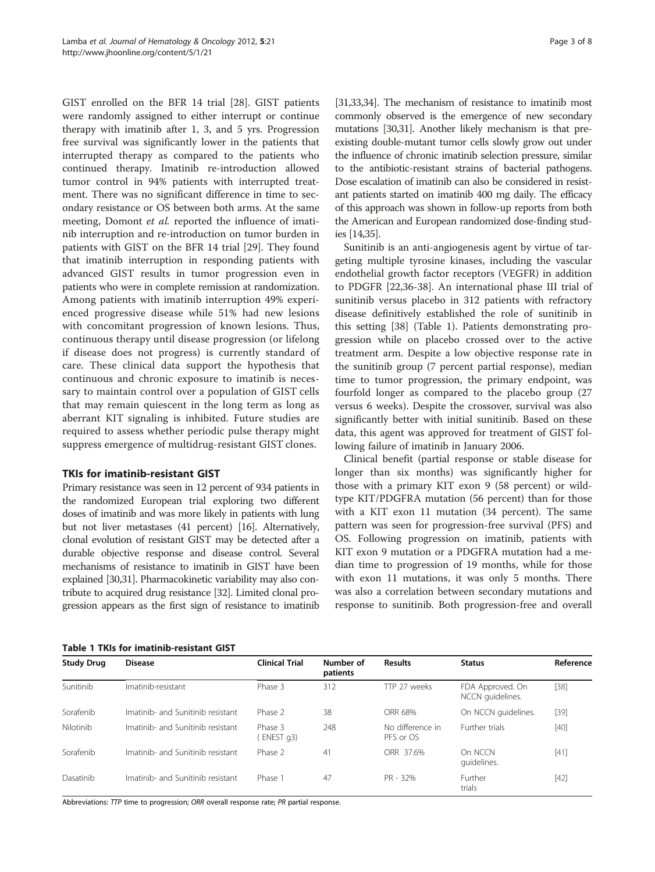GIST enrolled on the BFR 14 trial [[28](#page-6-0)]. GIST patients were randomly assigned to either interrupt or continue therapy with imatinib after 1, 3, and 5 yrs. Progression free survival was significantly lower in the patients that interrupted therapy as compared to the patients who continued therapy. Imatinib re-introduction allowed tumor control in 94% patients with interrupted treatment. There was no significant difference in time to secondary resistance or OS between both arms. At the same meeting, Domont et al. reported the influence of imatinib interruption and re-introduction on tumor burden in patients with GIST on the BFR 14 trial [[29](#page-6-0)]. They found that imatinib interruption in responding patients with advanced GIST results in tumor progression even in patients who were in complete remission at randomization. Among patients with imatinib interruption 49% experienced progressive disease while 51% had new lesions with concomitant progression of known lesions. Thus, continuous therapy until disease progression (or lifelong if disease does not progress) is currently standard of care. These clinical data support the hypothesis that continuous and chronic exposure to imatinib is necessary to maintain control over a population of GIST cells that may remain quiescent in the long term as long as aberrant KIT signaling is inhibited. Future studies are required to assess whether periodic pulse therapy might suppress emergence of multidrug-resistant GIST clones.

# TKIs for imatinib-resistant GIST

Primary resistance was seen in 12 percent of 934 patients in the randomized European trial exploring two different doses of imatinib and was more likely in patients with lung but not liver metastases (41 percent) [\[16\]](#page-6-0). Alternatively, clonal evolution of resistant GIST may be detected after a durable objective response and disease control. Several mechanisms of resistance to imatinib in GIST have been explained [\[30,31](#page-6-0)]. Pharmacokinetic variability may also contribute to acquired drug resistance [\[32\]](#page-6-0). Limited clonal progression appears as the first sign of resistance to imatinib

[[31,33,34\]](#page-6-0). The mechanism of resistance to imatinib most commonly observed is the emergence of new secondary mutations [\[30,31](#page-6-0)]. Another likely mechanism is that preexisting double-mutant tumor cells slowly grow out under the influence of chronic imatinib selection pressure, similar to the antibiotic-resistant strains of bacterial pathogens. Dose escalation of imatinib can also be considered in resistant patients started on imatinib 400 mg daily. The efficacy of this approach was shown in follow-up reports from both the American and European randomized dose-finding studies [\[14,35](#page-6-0)].

Sunitinib is an anti-angiogenesis agent by virtue of targeting multiple tyrosine kinases, including the vascular endothelial growth factor receptors (VEGFR) in addition to PDGFR [[22,36](#page-6-0)-[38](#page-6-0)]. An international phase III trial of sunitinib versus placebo in 312 patients with refractory disease definitively established the role of sunitinib in this setting [[38\]](#page-6-0) (Table 1). Patients demonstrating progression while on placebo crossed over to the active treatment arm. Despite a low objective response rate in the sunitinib group (7 percent partial response), median time to tumor progression, the primary endpoint, was fourfold longer as compared to the placebo group (27 versus 6 weeks). Despite the crossover, survival was also significantly better with initial sunitinib. Based on these data, this agent was approved for treatment of GIST following failure of imatinib in January 2006.

Clinical benefit (partial response or stable disease for longer than six months) was significantly higher for those with a primary KIT exon 9 (58 percent) or wildtype KIT/PDGFRA mutation (56 percent) than for those with a KIT exon 11 mutation (34 percent). The same pattern was seen for progression-free survival (PFS) and OS. Following progression on imatinib, patients with KIT exon 9 mutation or a PDGFRA mutation had a median time to progression of 19 months, while for those with exon 11 mutations, it was only 5 months. There was also a correlation between secondary mutations and response to sunitinib. Both progression-free and overall

Table 1 TKIs for imatinib-resistant GIST

| <b>Study Drug</b> | <b>Disease</b>                    | <b>Clinical Trial</b> | Number of<br>patients | <b>Results</b>                | <b>Status</b>                        | Reference |
|-------------------|-----------------------------------|-----------------------|-----------------------|-------------------------------|--------------------------------------|-----------|
| Sunitinib         | Imatinib-resistant                | Phase 3               | 312                   | TTP 27 weeks                  | FDA Approved. On<br>NCCN quidelines. | $[38]$    |
| Sorafenib         | Imatinib- and Sunitinib resistant | Phase 2               | 38                    | ORR 68%                       | On NCCN quidelines.                  | $[39]$    |
| Nilotinib         | Imatinib- and Sunitinib resistant | Phase 3<br>ENEST q3)  | 248                   | No difference in<br>PFS or OS | Further trials                       | $[40]$    |
| Sorafenib         | Imatinib- and Sunitinib resistant | Phase 2               | 41                    | ORR 37.6%                     | On NCCN<br>quidelines.               | $[41]$    |
| Dasatinib         | Imatinib- and Sunitinib resistant | Phase 1               | 47                    | PR - 32%                      | Further<br>trials                    | $[42]$    |

Abbreviations: TTP time to progression; ORR overall response rate; PR partial response.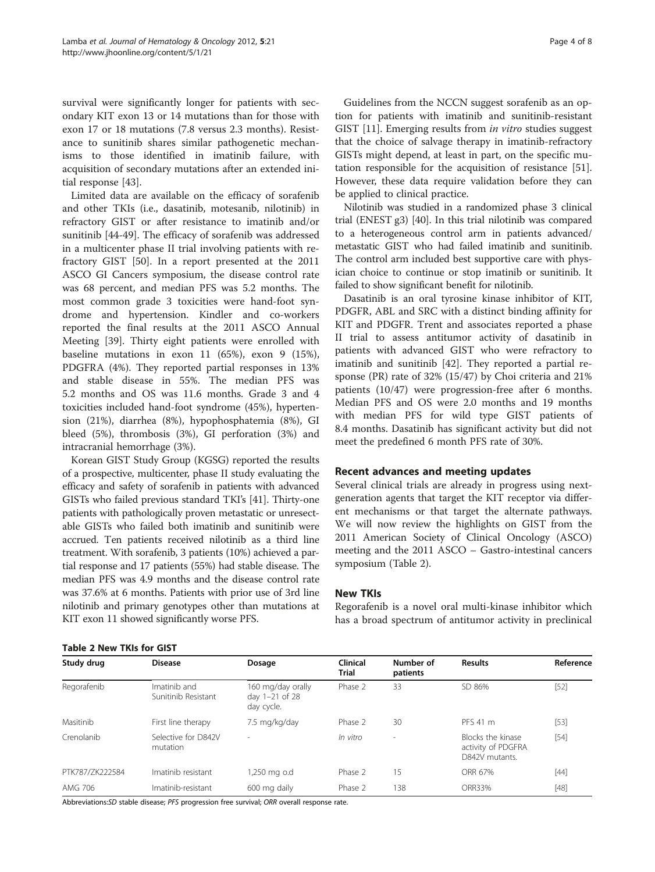survival were significantly longer for patients with secondary KIT exon 13 or 14 mutations than for those with exon 17 or 18 mutations (7.8 versus 2.3 months). Resistance to sunitinib shares similar pathogenetic mechanisms to those identified in imatinib failure, with acquisition of secondary mutations after an extended initial response [[43\]](#page-7-0).

Limited data are available on the efficacy of sorafenib and other TKIs (i.e., dasatinib, motesanib, nilotinib) in refractory GIST or after resistance to imatinib and/or sunitinib [\[44](#page-7-0)-[49\]](#page-7-0). The efficacy of sorafenib was addressed in a multicenter phase II trial involving patients with refractory GIST [\[50](#page-7-0)]. In a report presented at the 2011 ASCO GI Cancers symposium, the disease control rate was 68 percent, and median PFS was 5.2 months. The most common grade 3 toxicities were hand-foot syndrome and hypertension. Kindler and co-workers reported the final results at the 2011 ASCO Annual Meeting [\[39](#page-6-0)]. Thirty eight patients were enrolled with baseline mutations in exon 11 (65%), exon 9 (15%), PDGFRA (4%). They reported partial responses in 13% and stable disease in 55%. The median PFS was 5.2 months and OS was 11.6 months. Grade 3 and 4 toxicities included hand-foot syndrome (45%), hypertension (21%), diarrhea (8%), hypophosphatemia (8%), GI bleed (5%), thrombosis (3%), GI perforation (3%) and intracranial hemorrhage (3%).

Korean GIST Study Group (KGSG) reported the results of a prospective, multicenter, phase II study evaluating the efficacy and safety of sorafenib in patients with advanced GISTs who failed previous standard TKI's [[41](#page-7-0)]. Thirty-one patients with pathologically proven metastatic or unresectable GISTs who failed both imatinib and sunitinib were accrued. Ten patients received nilotinib as a third line treatment. With sorafenib, 3 patients (10%) achieved a partial response and 17 patients (55%) had stable disease. The median PFS was 4.9 months and the disease control rate was 37.6% at 6 months. Patients with prior use of 3rd line nilotinib and primary genotypes other than mutations at KIT exon 11 showed significantly worse PFS.

Guidelines from the NCCN suggest sorafenib as an option for patients with imatinib and sunitinib-resistant GIST [[11\]](#page-6-0). Emerging results from in vitro studies suggest that the choice of salvage therapy in imatinib-refractory GISTs might depend, at least in part, on the specific mutation responsible for the acquisition of resistance [[51](#page-7-0)]. However, these data require validation before they can be applied to clinical practice.

Nilotinib was studied in a randomized phase 3 clinical trial (ENEST g3) [[40](#page-6-0)]. In this trial nilotinib was compared to a heterogeneous control arm in patients advanced/ metastatic GIST who had failed imatinib and sunitinib. The control arm included best supportive care with physician choice to continue or stop imatinib or sunitinib. It failed to show significant benefit for nilotinib.

Dasatinib is an oral tyrosine kinase inhibitor of KIT, PDGFR, ABL and SRC with a distinct binding affinity for KIT and PDGFR. Trent and associates reported a phase II trial to assess antitumor activity of dasatinib in patients with advanced GIST who were refractory to imatinib and sunitinib [\[42\]](#page-7-0). They reported a partial response (PR) rate of 32% (15/47) by Choi criteria and 21% patients (10/47) were progression-free after 6 months. Median PFS and OS were 2.0 months and 19 months with median PFS for wild type GIST patients of 8.4 months. Dasatinib has significant activity but did not meet the predefined 6 month PFS rate of 30%.

# Recent advances and meeting updates

Several clinical trials are already in progress using nextgeneration agents that target the KIT receptor via different mechanisms or that target the alternate pathways. We will now review the highlights on GIST from the 2011 American Society of Clinical Oncology (ASCO) meeting and the 2011 ASCO – Gastro-intestinal cancers symposium (Table 2).

#### New TKIs

Regorafenib is a novel oral multi-kinase inhibitor which has a broad spectrum of antitumor activity in preclinical

|  |  | <b>Table 2 New TKIs for GIST</b> |  |
|--|--|----------------------------------|--|
|--|--|----------------------------------|--|

| Study drug      | <b>Disease</b>                      | Dosage                                            | Clinical<br><b>Trial</b> | Number of<br>patients    | <b>Results</b>                                            | Reference |
|-----------------|-------------------------------------|---------------------------------------------------|--------------------------|--------------------------|-----------------------------------------------------------|-----------|
| Regorafenib     | Imatinib and<br>Sunitinib Resistant | 160 mg/day orally<br>day 1-21 of 28<br>day cycle. | Phase 2                  | 33                       | SD 86%                                                    | $[52]$    |
| Masitinib       | First line therapy                  | 7.5 mg/kg/day                                     | Phase 2                  | 30                       | PFS 41 m                                                  | $[53]$    |
| Crenolanib      | Selective for D842V<br>mutation     | $\overline{\phantom{a}}$                          | In vitro                 | $\overline{\phantom{a}}$ | Blocks the kinase<br>activity of PDGFRA<br>D842V mutants. | $[54]$    |
| PTK787/ZK222584 | Imatinib resistant                  | ,250 mg o.d                                       | Phase 2                  | 15                       | ORR 67%                                                   | $[44]$    |
| AMG 706         | Imatinib-resistant                  | 600 mg daily                                      | Phase 2                  | 138                      | ORR33%                                                    | $[48]$    |

Abbreviations:SD stable disease; PFS progression free survival; ORR overall response rate.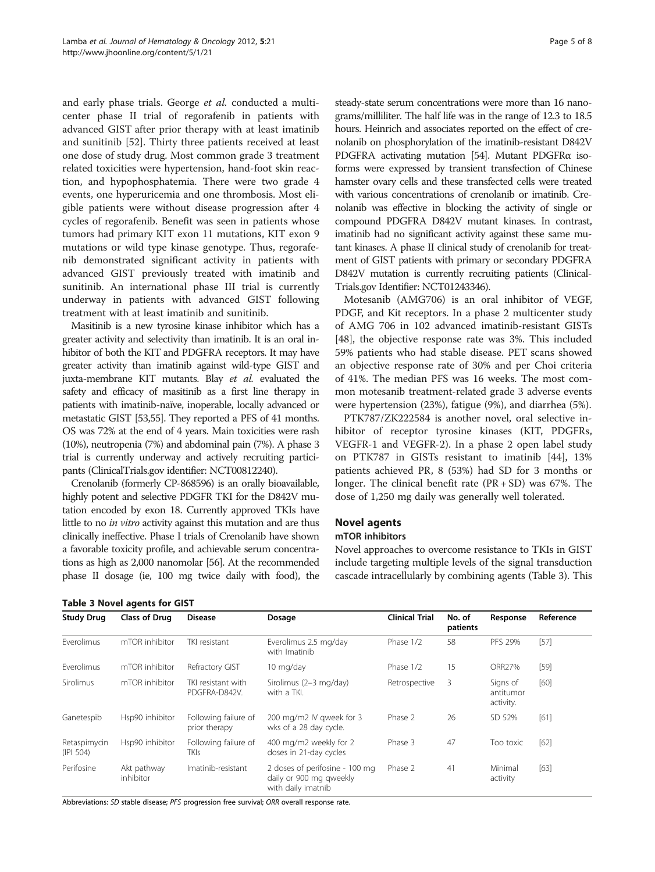and early phase trials. George et al. conducted a multicenter phase II trial of regorafenib in patients with advanced GIST after prior therapy with at least imatinib and sunitinib [\[52](#page-7-0)]. Thirty three patients received at least one dose of study drug. Most common grade 3 treatment related toxicities were hypertension, hand-foot skin reaction, and hypophosphatemia. There were two grade 4 events, one hyperuricemia and one thrombosis. Most eligible patients were without disease progression after 4 cycles of regorafenib. Benefit was seen in patients whose tumors had primary KIT exon 11 mutations, KIT exon 9 mutations or wild type kinase genotype. Thus, regorafenib demonstrated significant activity in patients with advanced GIST previously treated with imatinib and sunitinib. An international phase III trial is currently underway in patients with advanced GIST following treatment with at least imatinib and sunitinib.

Masitinib is a new tyrosine kinase inhibitor which has a greater activity and selectivity than imatinib. It is an oral inhibitor of both the KIT and PDGFRA receptors. It may have greater activity than imatinib against wild-type GIST and juxta-membrane KIT mutants. Blay et al. evaluated the safety and efficacy of masitinib as a first line therapy in patients with imatinib-naïve, inoperable, locally advanced or metastatic GIST [\[53,55\]](#page-7-0). They reported a PFS of 41 months. OS was 72% at the end of 4 years. Main toxicities were rash (10%), neutropenia (7%) and abdominal pain (7%). A phase 3 trial is currently underway and actively recruiting participants (ClinicalTrials.gov identifier: NCT00812240).

Crenolanib (formerly CP-868596) is an orally bioavailable, highly potent and selective PDGFR TKI for the D842V mutation encoded by exon 18. Currently approved TKIs have little to no in vitro activity against this mutation and are thus clinically ineffective. Phase I trials of Crenolanib have shown a favorable toxicity profile, and achievable serum concentrations as high as 2,000 nanomolar [\[56\]](#page-7-0). At the recommended phase II dosage (ie, 100 mg twice daily with food), the

Table 3 Novel agents for GIST

steady-state serum concentrations were more than 16 nanograms/milliliter. The half life was in the range of 12.3 to 18.5 hours. Heinrich and associates reported on the effect of crenolanib on phosphorylation of the imatinib-resistant D842V PDGFRA activating mutation [\[54\]](#page-7-0). Mutant PDGFRα isoforms were expressed by transient transfection of Chinese hamster ovary cells and these transfected cells were treated with various concentrations of crenolanib or imatinib. Crenolanib was effective in blocking the activity of single or compound PDGFRA D842V mutant kinases. In contrast, imatinib had no significant activity against these same mutant kinases. A phase II clinical study of crenolanib for treatment of GIST patients with primary or secondary PDGFRA D842V mutation is currently recruiting patients (Clinical-Trials.gov Identifier: NCT01243346).

Motesanib (AMG706) is an oral inhibitor of VEGF, PDGF, and Kit receptors. In a phase 2 multicenter study of AMG 706 in 102 advanced imatinib-resistant GISTs [[48\]](#page-7-0), the objective response rate was 3%. This included 59% patients who had stable disease. PET scans showed an objective response rate of 30% and per Choi criteria of 41%. The median PFS was 16 weeks. The most common motesanib treatment-related grade 3 adverse events were hypertension (23%), fatigue (9%), and diarrhea (5%).

PTK787/ZK222584 is another novel, oral selective inhibitor of receptor tyrosine kinases (KIT, PDGFRs, VEGFR-1 and VEGFR-2). In a phase 2 open label study on PTK787 in GISTs resistant to imatinib [\[44\]](#page-7-0), 13% patients achieved PR, 8 (53%) had SD for 3 months or longer. The clinical benefit rate  $(PR + SD)$  was 67%. The dose of 1,250 mg daily was generally well tolerated.

# Novel agents

#### mTOR inhibitors

Novel approaches to overcome resistance to TKIs in GIST include targeting multiple levels of the signal transduction cascade intracellularly by combining agents (Table 3). This

| <b>Study Drug</b>         | <b>Class of Drug</b>     | <b>Disease</b>                        | Dosage                                                                          | <b>Clinical Trial</b> | No. of<br>patients | Response                           | Reference |
|---------------------------|--------------------------|---------------------------------------|---------------------------------------------------------------------------------|-----------------------|--------------------|------------------------------------|-----------|
| Everolimus                | mTOR inhibitor           | TKI resistant                         | Everolimus 2.5 mg/day<br>with Imatinib                                          | Phase 1/2             | 58                 | PFS 29%                            | [57]      |
| Everolimus                | mTOR inhibitor           | Refractory GIST                       | 10 mg/day                                                                       | Phase 1/2             | 15                 | <b>ORR27%</b>                      | [59]      |
| Sirolimus                 | mTOR inhibitor           | TKI resistant with<br>PDGFRA-D842V.   | Sirolimus (2-3 mg/day)<br>with a TKI.                                           | Retrospective         | 3                  | Signs of<br>antitumor<br>activity. | [60]      |
| Ganetespib                | Hsp90 inhibitor          | Following failure of<br>prior therapy | 200 mg/m2 IV gweek for 3<br>wks of a 28 day cycle.                              | Phase 2               | 26                 | SD 52%                             | [61]      |
| Retaspimycin<br>(IPI 504) | Hsp90 inhibitor          | Following failure of<br>TKIs          | 400 mg/m2 weekly for 2<br>doses in 21-day cycles                                | Phase 3               | 47                 | Too toxic                          | $[62]$    |
| Perifosine                | Akt pathway<br>inhibitor | Imatinib-resistant                    | 2 doses of perifosine - 100 mg<br>daily or 900 mg gweekly<br>with daily imatnib | Phase 2               | 41                 | Minimal<br>activity                | [63]      |

Abbreviations: SD stable disease; PFS progression free survival; ORR overall response rate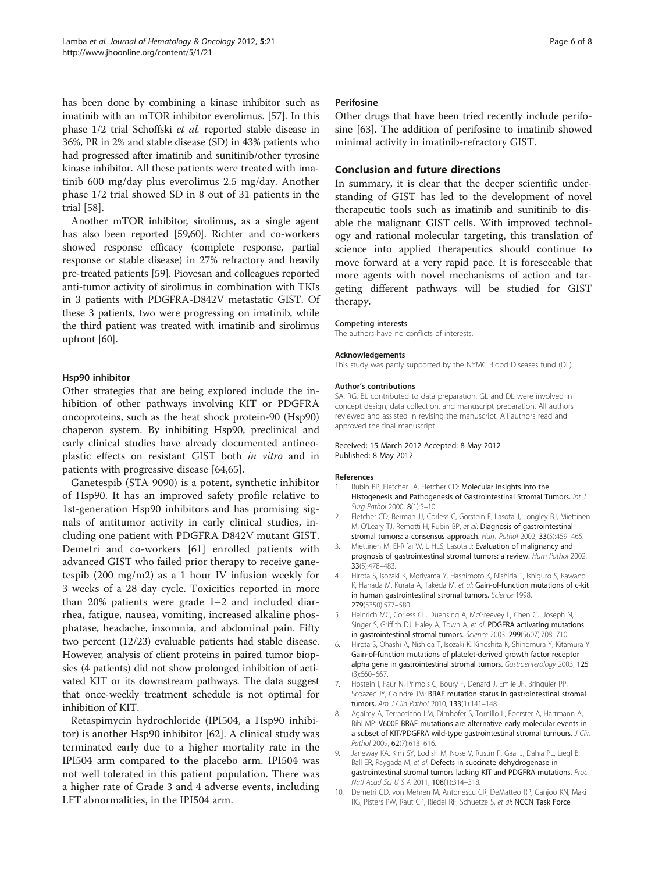<span id="page-5-0"></span>has been done by combining a kinase inhibitor such as imatinib with an mTOR inhibitor everolimus. [[57](#page-7-0)]. In this phase 1/2 trial Schoffski et al. reported stable disease in 36%, PR in 2% and stable disease (SD) in 43% patients who had progressed after imatinib and sunitinib/other tyrosine kinase inhibitor. All these patients were treated with imatinib 600 mg/day plus everolimus 2.5 mg/day. Another phase 1/2 trial showed SD in 8 out of 31 patients in the trial [\[58](#page-7-0)].

Another mTOR inhibitor, sirolimus, as a single agent has also been reported [\[59,60](#page-7-0)]. Richter and co-workers showed response efficacy (complete response, partial response or stable disease) in 27% refractory and heavily pre-treated patients [[59](#page-7-0)]. Piovesan and colleagues reported anti-tumor activity of sirolimus in combination with TKIs in 3 patients with PDGFRA-D842V metastatic GIST. Of these 3 patients, two were progressing on imatinib, while the third patient was treated with imatinib and sirolimus upfront [\[60\]](#page-7-0).

## Hsp90 inhibitor

Other strategies that are being explored include the inhibition of other pathways involving KIT or PDGFRA oncoproteins, such as the heat shock protein-90 (Hsp90) chaperon system. By inhibiting Hsp90, preclinical and early clinical studies have already documented antineoplastic effects on resistant GIST both in vitro and in patients with progressive disease [\[64,65](#page-7-0)].

Ganetespib (STA 9090) is a potent, synthetic inhibitor of Hsp90. It has an improved safety profile relative to 1st-generation Hsp90 inhibitors and has promising signals of antitumor activity in early clinical studies, including one patient with PDGFRA D842V mutant GIST. Demetri and co-workers [[61\]](#page-7-0) enrolled patients with advanced GIST who failed prior therapy to receive ganetespib (200 mg/m2) as a 1 hour IV infusion weekly for 3 weeks of a 28 day cycle. Toxicities reported in more than 20% patients were grade 1–2 and included diarrhea, fatigue, nausea, vomiting, increased alkaline phosphatase, headache, insomnia, and abdominal pain. Fifty two percent (12/23) evaluable patients had stable disease. However, analysis of client proteins in paired tumor biopsies (4 patients) did not show prolonged inhibition of activated KIT or its downstream pathways. The data suggest that once-weekly treatment schedule is not optimal for inhibition of KIT.

Retaspimycin hydrochloride (IPI504, a Hsp90 inhibitor) is another Hsp90 inhibitor [\[62](#page-7-0)]. A clinical study was terminated early due to a higher mortality rate in the IPI504 arm compared to the placebo arm. IPI504 was not well tolerated in this patient population. There was a higher rate of Grade 3 and 4 adverse events, including LFT abnormalities, in the IPI504 arm.

#### **Perifosine**

Other drugs that have been tried recently include perifosine [[63](#page-7-0)]. The addition of perifosine to imatinib showed minimal activity in imatinib-refractory GIST.

### Conclusion and future directions

In summary, it is clear that the deeper scientific understanding of GIST has led to the development of novel therapeutic tools such as imatinib and sunitinib to disable the malignant GIST cells. With improved technology and rational molecular targeting, this translation of science into applied therapeutics should continue to move forward at a very rapid pace. It is foreseeable that more agents with novel mechanisms of action and targeting different pathways will be studied for GIST therapy.

#### Competing interests

The authors have no conflicts of interests.

#### Acknowledgements

This study was partly supported by the NYMC Blood Diseases fund (DL).

#### Author's contributions

SA, RG, BL contributed to data preparation. GL and DL were involved in concept design, data collection, and manuscript preparation. All authors reviewed and assisted in revising the manuscript. All authors read and approved the final manuscript

#### Received: 15 March 2012 Accepted: 8 May 2012 Published: 8 May 2012

#### References

- Rubin BP, Fletcher JA, Fletcher CD: Molecular Insights into the Histogenesis and Pathogenesis of Gastrointestinal Stromal Tumors. Int J Surg Pathol 2000, 8(1):5–10.
- 2. Fletcher CD, Berman JJ, Corless C, Gorstein F, Lasota J, Longley BJ, Miettinen M, O'Leary TJ, Remotti H, Rubin BP, et al: Diagnosis of gastrointestinal stromal tumors: a consensus approach. Hum Pathol 2002, 33(5):459–465.
- 3. Miettinen M, El-Rifai W, L HLS, Lasota J: Evaluation of malignancy and prognosis of gastrointestinal stromal tumors: a review. Hum Pathol 2002, 33(5):478–483.
- 4. Hirota S, Isozaki K, Moriyama Y, Hashimoto K, Nishida T, Ishiguro S, Kawano K, Hanada M, Kurata A, Takeda M, et al: Gain-of-function mutations of c-kit in human gastrointestinal stromal tumors. Science 1998, 279(5350):577–580.
- 5. Heinrich MC, Corless CL, Duensing A, McGreevey L, Chen CJ, Joseph N, Singer S, Griffith DJ, Haley A, Town A, et al: PDGFRA activating mutations in gastrointestinal stromal tumors. Science 2003, 299(5607):708-710.
- Hirota S, Ohashi A, Nishida T, Isozaki K, Kinoshita K, Shinomura Y, Kitamura Y: Gain-of-function mutations of platelet-derived growth factor receptor alpha gene in gastrointestinal stromal tumors. Gastroenterology 2003, 125 (3):660–667.
- 7. Hostein I, Faur N, Primois C, Boury F, Denard J, Emile JF, Bringuier PP, Scoazec JY, Coindre JM: BRAF mutation status in gastrointestinal stromal tumors. Am J Clin Pathol 2010, 133(1):141–148.
- Agaimy A, Terracciano LM, Dirnhofer S, Tornillo L, Foerster A, Hartmann A, Bihl MP: V600E BRAF mutations are alternative early molecular events in a subset of KIT/PDGFRA wild-type gastrointestinal stromal tumours. J Clin Pathol 2009, 62(7):613-616.
- 9. Janeway KA, Kim SY, Lodish M, Nose V, Rustin P, Gaal J, Dahia PL, Liegl B, Ball ER, Raygada M, et al: Defects in succinate dehydrogenase in gastrointestinal stromal tumors lacking KIT and PDGFRA mutations. Proc Natl Acad Sci U S A 2011, 108(1):314–318.
- 10. Demetri GD, von Mehren M, Antonescu CR, DeMatteo RP, Ganjoo KN, Maki RG, Pisters PW, Raut CP, Riedel RF, Schuetze S, et al: NCCN Task Force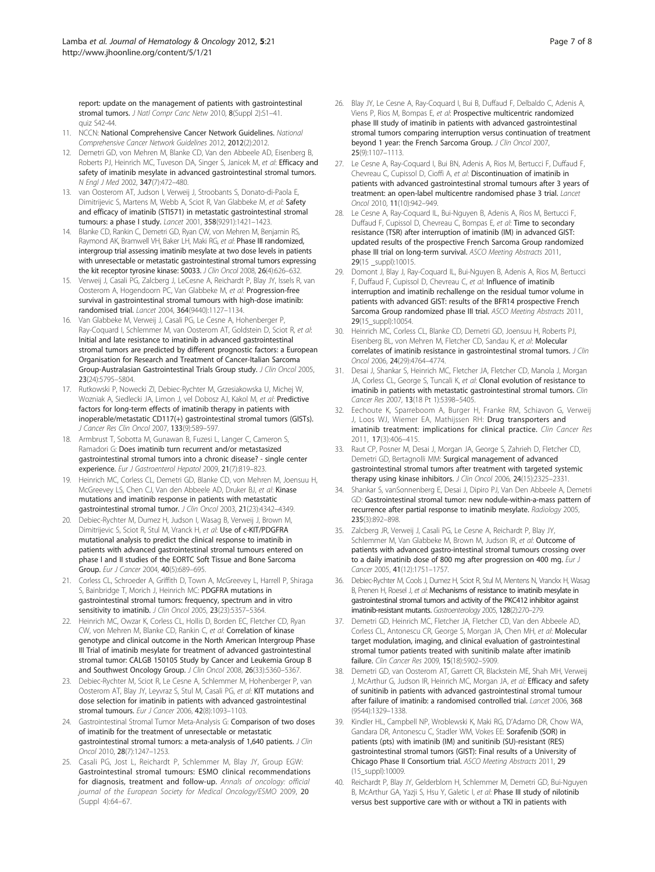<span id="page-6-0"></span>report: update on the management of patients with gastrointestinal stromal tumors. J Natl Compr Canc Netw 2010, 8(Suppl 2):S1-41. quiz S42-44.

- 11. NCCN: National Comprehensive Cancer Network Guidelines. National Comprehensive Cancer Network Guidelines 2012, 2012(2):2012.
- 12. Demetri GD, von Mehren M, Blanke CD, Van den Abbeele AD, Eisenberg B, Roberts PJ, Heinrich MC, Tuveson DA, Singer S, Janicek M, et al: Efficacy and safety of imatinib mesylate in advanced gastrointestinal stromal tumors. N Engl J Med 2002, 347(7):472–480.
- 13. van Oosterom AT, Judson I, Verweij J, Stroobants S, Donato-di-Paola E, Dimitrijevic S, Martens M, Webb A, Sciot R, Van Glabbeke M, et al: Safety and efficacy of imatinib (STI571) in metastatic gastrointestinal stromal tumours: a phase I study. Lancet 2001, 358(9291):1421–1423.
- 14. Blanke CD, Rankin C, Demetri GD, Ryan CW, von Mehren M, Benjamin RS, Raymond AK, Bramwell VH, Baker LH, Maki RG, et al: Phase III randomized, intergroup trial assessing imatinib mesylate at two dose levels in patients with unresectable or metastatic gastrointestinal stromal tumors expressing the kit receptor tyrosine kinase: S0033. J Clin Oncol 2008, 26(4):626–632.
- 15. Verweij J, Casali PG, Zalcberg J, LeCesne A, Reichardt P, Blay JY, Issels R, van Oosterom A, Hogendoorn PC, Van Glabbeke M, et al: Progression-free survival in gastrointestinal stromal tumours with high-dose imatinib: randomised trial. Lancet 2004, 364(9440):1127–1134.
- Van Glabbeke M, Verweij J, Casali PG, Le Cesne A, Hohenberger P, Ray-Coquard I, Schlemmer M, van Oosterom AT, Goldstein D, Sciot R, et al: Initial and late resistance to imatinib in advanced gastrointestinal stromal tumors are predicted by different prognostic factors: a European Organisation for Research and Treatment of Cancer-Italian Sarcoma Group-Australasian Gastrointestinal Trials Group study. J Clin Oncol 2005, 23(24):5795–5804.
- 17. Rutkowski P, Nowecki ZI, Debiec-Rychter M, Grzesiakowska U, Michej W, Wozniak A, Siedlecki JA, Limon J, vel Dobosz AJ, Kakol M, et al: Predictive factors for long-term effects of imatinib therapy in patients with inoperable/metastatic CD117(+) gastrointestinal stromal tumors (GISTs). J Cancer Res Clin Oncol 2007, 133(9):589–597.
- 18. Armbrust T, Sobotta M, Gunawan B, Fuzesi L, Langer C, Cameron S, Ramadori G: Does imatinib turn recurrent and/or metastasized gastrointestinal stromal tumors into a chronic disease? - single center experience. Eur J Gastroenterol Hepatol 2009, 21(7):819–823.
- 19. Heinrich MC, Corless CL, Demetri GD, Blanke CD, von Mehren M, Joensuu H, McGreevey LS, Chen CJ, Van den Abbeele AD, Druker BJ, et al: Kinase mutations and imatinib response in patients with metastatic gastrointestinal stromal tumor. J Clin Oncol 2003, 21(23):4342–4349.
- 20. Debiec-Rychter M, Dumez H, Judson I, Wasag B, Verweij J, Brown M, Dimitrijevic S, Sciot R, Stul M, Vranck H, et al: Use of c-KIT/PDGFRA mutational analysis to predict the clinical response to imatinib in patients with advanced gastrointestinal stromal tumours entered on phase I and II studies of the EORTC Soft Tissue and Bone Sarcoma Group. Eur J Cancer 2004, 40(5):689-695.
- 21. Corless CL, Schroeder A, Griffith D, Town A, McGreevey L, Harrell P, Shiraga S, Bainbridge T, Morich J, Heinrich MC: PDGFRA mutations in gastrointestinal stromal tumors: frequency, spectrum and in vitro sensitivity to imatinib. *J Clin Oncol* 2005, 23(23):5357-5364.
- 22. Heinrich MC, Owzar K, Corless CL, Hollis D, Borden EC, Fletcher CD, Ryan CW, von Mehren M, Blanke CD, Rankin C, et al: Correlation of kinase genotype and clinical outcome in the North American Intergroup Phase III Trial of imatinib mesylate for treatment of advanced gastrointestinal stromal tumor: CALGB 150105 Study by Cancer and Leukemia Group B and Southwest Oncology Group. J Clin Oncol 2008, 26(33):5360–5367.
- 23. Debiec-Rychter M, Sciot R, Le Cesne A, Schlemmer M, Hohenberger P, van Oosterom AT, Blay JY, Leyvraz S, Stul M, Casali PG, et al: KIT mutations and dose selection for imatinib in patients with advanced gastrointestinal stromal tumours. Eur J Cancer 2006, 42(8):1093–1103.
- 24. Gastrointestinal Stromal Tumor Meta-Analysis G: Comparison of two doses of imatinib for the treatment of unresectable or metastatic gastrointestinal stromal tumors: a meta-analysis of 1,640 patients. J Clin Oncol 2010, 28(7):1247–1253.
- 25. Casali PG, Jost L, Reichardt P, Schlemmer M, Blay JY, Group EGW: Gastrointestinal stromal tumours: ESMO clinical recommendations for diagnosis, treatment and follow-up. Annals of oncology: official journal of the European Society for Medical Oncology/ESMO 2009, 20 (Suppl 4):64–67.
- 26. Blay JY, Le Cesne A, Ray-Coquard I, Bui B, Duffaud F, Delbaldo C, Adenis A, Viens P, Rios M, Bompas E, et al: Prospective multicentric randomized phase III study of imatinib in patients with advanced gastrointestinal stromal tumors comparing interruption versus continuation of treatment beyond 1 year: the French Sarcoma Group. J Clin Oncol 2007, 25(9):1107–1113.
- 27. Le Cesne A, Ray-Coquard I, Bui BN, Adenis A, Rios M, Bertucci F, Duffaud F, Chevreau C, Cupissol D, Cioffi A, et al: Discontinuation of imatinib in patients with advanced gastrointestinal stromal tumours after 3 years of treatment: an open-label multicentre randomised phase 3 trial. Lancet Oncol 2010, 11(10):942–949.
- 28. Le Cesne A, Ray-Coquard IL, Bui-Nguyen B, Adenis A, Rios M, Bertucci F, Duffaud F, Cupissol D, Chevreau C, Bompas E, et al: Time to secondary resistance (TSR) after interruption of imatinib (IM) in advanced GIST: updated results of the prospective French Sarcoma Group randomized phase III trial on long-term survival. ASCO Meeting Abstracts 2011, 29(15 suppl):10015.
- 29. Domont J, Blay J, Ray-Coquard IL, Bui-Nguyen B, Adenis A, Rios M, Bertucci F, Duffaud F, Cupissol D, Chevreau C, et al: Influence of imatinib interruption and imatinib rechallenge on the residual tumor volume in patients with advanced GIST: results of the BFR14 prospective French Sarcoma Group randomized phase III trial. ASCO Meeting Abstracts 2011, 29(15\_suppl):10054.
- 30. Heinrich MC, Corless CL, Blanke CD, Demetri GD, Joensuu H, Roberts PJ, Eisenberg BL, von Mehren M, Fletcher CD, Sandau K, et al: Molecular correlates of imatinib resistance in gastrointestinal stromal tumors. J Clin Oncol 2006, 24(29):4764–4774.
- 31. Desai J, Shankar S, Heinrich MC, Fletcher JA, Fletcher CD, Manola J, Morgan JA, Corless CL, George S, Tuncali K, et al: Clonal evolution of resistance to imatinib in patients with metastatic gastrointestinal stromal tumors. Clin Cancer Res 2007, 13(18 Pt 1):5398–5405.
- 32. Eechoute K, Sparreboom A, Burger H, Franke RM, Schiavon G, Verweij J, Loos WJ, Wiemer EA, Mathijssen RH: Drug transporters and imatinib treatment: implications for clinical practice. Clin Cancer Res 2011, 17(3):406–415.
- 33. Raut CP, Posner M, Desai J, Morgan JA, George S, Zahrieh D, Fletcher CD, Demetri GD, Bertagnolli MM: Surgical management of advanced gastrointestinal stromal tumors after treatment with targeted systemic therapy using kinase inhibitors. J Clin Oncol 2006, 24(15):2325-2331.
- 34. Shankar S, vanSonnenberg E, Desai J, Dipiro PJ, Van Den Abbeele A, Demetri GD: Gastrointestinal stromal tumor: new nodule-within-a-mass pattern of recurrence after partial response to imatinib mesylate. Radiology 2005, 235(3):892–898.
- 35. Zalcberg JR, Verweij J, Casali PG, Le Cesne A, Reichardt P, Blay JY, Schlemmer M, Van Glabbeke M, Brown M, Judson IR, et al: Outcome of patients with advanced gastro-intestinal stromal tumours crossing over to a daily imatinib dose of 800 mg after progression on 400 mg. Eur J Cancer 2005, 41(12):1751–1757.
- 36. Debiec-Rychter M, Cools J, Dumez H, Sciot R, Stul M, Mentens N, Vranckx H, Wasag B, Prenen H, Roesel J, et al: Mechanisms of resistance to imatinib mesylate in gastrointestinal stromal tumors and activity of the PKC412 inhibitor against imatinib-resistant mutants. Gastroenterology 2005, 128(2):270-279
- 37. Demetri GD, Heinrich MC, Fletcher JA, Fletcher CD, Van den Abbeele AD, Corless CL, Antonescu CR, George S, Morgan JA, Chen MH, et al: Molecular target modulation, imaging, and clinical evaluation of gastrointestinal stromal tumor patients treated with sunitinib malate after imatinib failure. Clin Cancer Res 2009, 15(18):5902–5909.
- 38. Demetri GD, van Oosterom AT, Garrett CR, Blackstein ME, Shah MH, Verweij J, McArthur G, Judson IR, Heinrich MC, Morgan JA, et al: Efficacy and safety of sunitinib in patients with advanced gastrointestinal stromal tumour after failure of imatinib: a randomised controlled trial. Lancet 2006, 368 (9544):1329–1338.
- 39. Kindler HL, Campbell NP, Wroblewski K, Maki RG, D'Adamo DR, Chow WA, Gandara DR, Antonescu C, Stadler WM, Vokes EE: Sorafenib (SOR) in patients (pts) with imatinib (IM) and sunitinib (SU)-resistant (RES) gastrointestinal stromal tumors (GIST): Final results of a University of Chicago Phase II Consortium trial. ASCO Meeting Abstracts 2011, 29 (15\_suppl):10009.
- 40. Reichardt P, Blay JY, Gelderblom H, Schlemmer M, Demetri GD, Bui-Nguyen B, McArthur GA, Yazji S, Hsu Y, Galetic I, et al: Phase III study of nilotinib versus best supportive care with or without a TKI in patients with